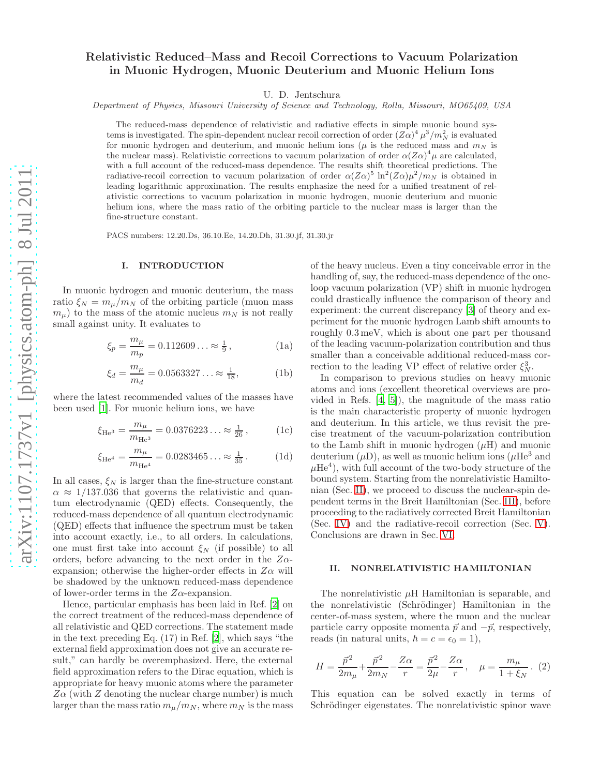# Relativistic Reduced–Mass and Recoil Corrections to Vacuum Polarization in Muonic Hydrogen, Muonic Deuterium and Muonic Helium Ions

U. D. Jentschura

Department of Physics, Missouri University of Science and Technology, Rolla, Missouri, MO65409, USA

The reduced-mass dependence of relativistic and radiative effects in simple muonic bound systems is investigated. The spin-dependent nuclear recoil correction of order  $(Z\alpha)^4 \mu^3/m_N^2$  is evaluated for muonic hydrogen and deuterium, and muonic helium ions ( $\mu$  is the reduced mass and  $m_N$  is the nuclear mass). Relativistic corrections to vacuum polarization of order  $\alpha(Z\alpha)^4\mu$  are calculated, with a full account of the reduced-mass dependence. The results shift theoretical predictions. The radiative-recoil correction to vacuum polarization of order  $\alpha(Z\alpha)^5 \ln^2(Z\alpha)\mu^2/m_N$  is obtained in leading logarithmic approximation. The results emphasize the need for a unified treatment of relativistic corrections to vacuum polarization in muonic hydrogen, muonic deuterium and muonic helium ions, where the mass ratio of the orbiting particle to the nuclear mass is larger than the fine-structure constant.

PACS numbers: 12.20.Ds, 36.10.Ee, 14.20.Dh, 31.30.jf, 31.30.jr

#### I. INTRODUCTION

In muonic hydrogen and muonic deuterium, the mass ratio  $\xi_N = m_\mu/m_N$  of the orbiting particle (muon mass  $m_{\mu}$ ) to the mass of the atomic nucleus  $m_N$  is not really small against unity. It evaluates to

$$
\xi_p = \frac{m_\mu}{m_p} = 0.112609\ldots \approx \frac{1}{9},\tag{1a}
$$

$$
\xi_d = \frac{m_\mu}{m_d} = 0.0563327\ldots \approx \frac{1}{18},\tag{1b}
$$

where the latest recommended values of the masses have been used [\[1\]](#page-5-0). For muonic helium ions, we have

$$
\xi_{\text{He}^3} = \frac{m_\mu}{m_{\text{He}^3}} = 0.0376223\ldots \approx \frac{1}{26},\tag{1c}
$$

$$
\xi_{\text{He}^4} = \frac{m_\mu}{m_{\text{He}^4}} = 0.0283465\ldots \approx \frac{1}{35} \,. \tag{1d}
$$

In all cases,  $\xi_N$  is larger than the fine-structure constant  $\alpha \approx 1/137.036$  that governs the relativistic and quantum electrodynamic (QED) effects. Consequently, the reduced-mass dependence of all quantum electrodynamic (QED) effects that influence the spectrum must be taken into account exactly, i.e., to all orders. In calculations, one must first take into account  $\xi_N$  (if possible) to all orders, before advancing to the next order in the  $Z\alpha$ expansion; otherwise the higher-order effects in  $Z\alpha$  will be shadowed by the unknown reduced-mass dependence of lower-order terms in the  $Z\alpha$ -expansion.

Hence, particular emphasis has been laid in Ref. [\[2\]](#page-5-1) on the correct treatment of the reduced-mass dependence of all relativistic and QED corrections. The statement made in the text preceding Eq. (17) in Ref. [\[2](#page-5-1)], which says "the external field approximation does not give an accurate result," can hardly be overemphasized. Here, the external field approximation refers to the Dirac equation, which is appropriate for heavy muonic atoms where the parameter  $Z\alpha$  (with  $Z$  denoting the nuclear charge number) is much larger than the mass ratio  $m_{\mu}/m_N$ , where  $m_N$  is the mass

of the heavy nucleus. Even a tiny conceivable error in the handling of, say, the reduced-mass dependence of the oneloop vacuum polarization (VP) shift in muonic hydrogen could drastically influence the comparison of theory and experiment: the current discrepancy [\[3](#page-5-2)] of theory and experiment for the muonic hydrogen Lamb shift amounts to roughly 0.3 meV, which is about one part per thousand of the leading vacuum-polarization contribution and thus smaller than a conceivable additional reduced-mass correction to the leading VP effect of relative order  $\xi_N^3$ .

In comparison to previous studies on heavy muonic atoms and ions (excellent theoretical overviews are provided in Refs. [\[4](#page-5-3), [5](#page-5-4)]), the magnitude of the mass ratio is the main characteristic property of muonic hydrogen and deuterium. In this article, we thus revisit the precise treatment of the vacuum-polarization contribution to the Lamb shift in muonic hydrogen  $(\mu H)$  and muonic deuterium  $(\mu D)$ , as well as muonic helium ions  $(\mu He^3$  and  $\mu$ He<sup>4</sup>), with full account of the two-body structure of the bound system. Starting from the nonrelativistic Hamiltonian (Sec. [II\)](#page-0-0), we proceed to discuss the nuclear-spin dependent terms in the Breit Hamiltonian (Sec. [III\)](#page-1-0), before proceeding to the radiatively corrected Breit Hamiltonian (Sec. [IV\)](#page-2-0) and the radiative-recoil correction (Sec. [V\)](#page-4-0). Conclusions are drawn in Sec. [VI.](#page-4-1)

#### <span id="page-0-0"></span>II. NONRELATIVISTIC HAMILTONIAN

The nonrelativistic  $\mu$ H Hamiltonian is separable, and the nonrelativistic (Schrödinger) Hamiltonian in the center-of-mass system, where the muon and the nuclear particle carry opposite momenta  $\vec{p}$  and  $-\vec{p}$ , respectively, reads (in natural units,  $\hbar = c = \epsilon_0 = 1$ ),

$$
H = \frac{\vec{p}^2}{2m_{\mu}} + \frac{\vec{p}^2}{2m_N} - \frac{Z\alpha}{r} = \frac{\vec{p}^2}{2\mu} - \frac{Z\alpha}{r}, \quad \mu = \frac{m_{\mu}}{1 + \xi_N} \, . \tag{2}
$$

This equation can be solved exactly in terms of Schrödinger eigenstates. The nonrelativistic spinor wave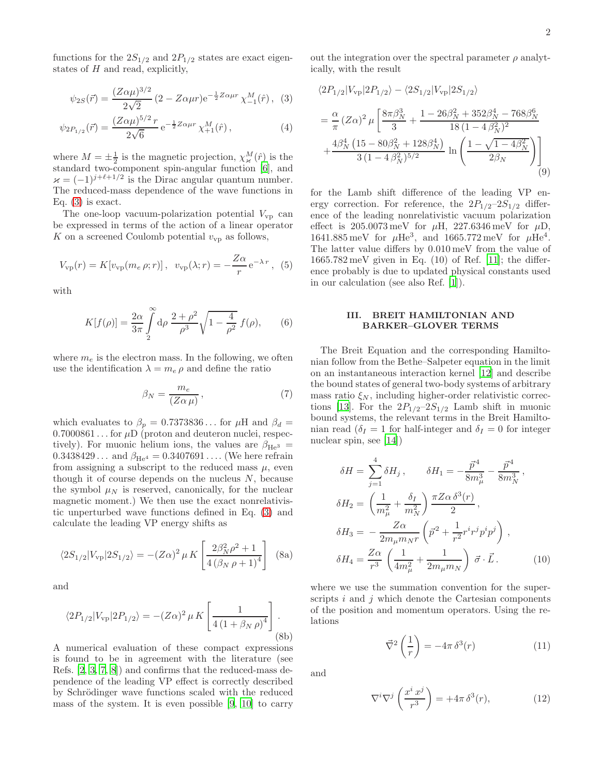functions for the  $2S_{1/2}$  and  $2P_{1/2}$  states are exact eigenstates of  $H$  and read, explicitly,

$$
\psi_{2S}(\vec{r}) = \frac{(Z\alpha\mu)^{3/2}}{2\sqrt{2}} (2 - Z\alpha\mu r) e^{-\frac{1}{2}Z\alpha\mu r} \chi_{-1}^{M}(\hat{r}), \quad (3)
$$

$$
\psi_{2P_{1/2}}(\vec{r}) = \frac{(Z\alpha\mu)^{5/2}r}{2\sqrt{6}} e^{-\frac{1}{2}Z\alpha\mu r} \chi_{+1}^M(\hat{r}), \qquad (4)
$$

where  $M = \pm \frac{1}{2}$  is the magnetic projection,  $\chi^M_{\varkappa}(\hat{r})$  is the standard two-component spin-angular function [\[6](#page-5-5)], and  $\varkappa = (-1)^{j+\ell+1/2}$  is the Dirac angular quantum number. The reduced-mass dependence of the wave functions in Eq.  $(3)$  is exact.

The one-loop vacuum-polarization potential  $V_{\rm vp}$  can be expressed in terms of the action of a linear operator K on a screened Coulomb potential  $v_{vp}$  as follows,

$$
V_{\rm vp}(r) = K[v_{\rm vp}(m_e \rho; r)], \ \ v_{\rm vp}(\lambda; r) = -\frac{Z\alpha}{r} e^{-\lambda r}, \ \ (5)
$$

with

$$
K[f(\rho)] = \frac{2\alpha}{3\pi} \int_{2}^{\infty} d\rho \frac{2+\rho^2}{\rho^3} \sqrt{1-\frac{4}{\rho^2}} f(\rho), \qquad (6)
$$

where  $m_e$  is the electron mass. In the following, we often use the identification  $\lambda = m_e \rho$  and define the ratio

$$
\beta_N = \frac{m_e}{(Z\alpha\,\mu)},\tag{7}
$$

which evaluates to  $\beta_p = 0.7373836...$  for  $\mu$ H and  $\beta_d =$  $0.7000861...$  for  $\mu$ D (proton and deuteron nuclei, respectively). For muonic helium ions, the values are  $\beta_{\text{He}^3}$  =  $0.3438429...$  and  $\beta_{\text{He}^4} = 0.3407691...$  (We here refrain from assigning a subscript to the reduced mass  $\mu$ , even though it of course depends on the nucleus  $N$ , because the symbol  $\mu_N$  is reserved, canonically, for the nuclear magnetic moment.) We then use the exact nonrelativistic unperturbed wave functions defined in Eq. [\(3\)](#page-1-1) and calculate the leading VP energy shifts as

$$
\langle 2S_{1/2}|V_{\rm vp}|2S_{1/2}\rangle = -(Z\alpha)^2 \,\mu \, K \left[\frac{2\beta_N^2 \rho^2 + 1}{4\left(\beta_N \,\rho + 1\right)^4}\right] \tag{8a}
$$

and

$$
\langle 2P_{1/2}|V_{\rm vp}|2P_{1/2}\rangle = -(Z\alpha)^2 \,\mu \, K \left[\frac{1}{4\left(1+\beta_N \,\rho\right)^4}\right].
$$
\n(8b)

A numerical evaluation of these compact expressions is found to be in agreement with the literature (see Refs. [\[2](#page-5-1), [3,](#page-5-2) [7,](#page-5-6) [8](#page-5-7)]) and confirms that the reduced-mass dependence of the leading VP effect is correctly described by Schrödinger wave functions scaled with the reduced mass of the system. It is even possible [\[9](#page-5-8), [10\]](#page-5-9) to carry

out the integration over the spectral parameter  $\rho$  analytically, with the result

<span id="page-1-1"></span>
$$
\langle 2P_{1/2}|V_{\rm vp}|2P_{1/2}\rangle - \langle 2S_{1/2}|V_{\rm vp}|2S_{1/2}\rangle
$$
  
=  $\frac{\alpha}{\pi} (Z\alpha)^2 \mu \left[ \frac{8\pi\beta_N^3}{3} + \frac{1 - 26\beta_N^2 + 352\beta_N^4 - 768\beta_N^6}{18(1 - 4\beta_N^2)^2} + \frac{4\beta_N^4 (15 - 80\beta_N^2 + 128\beta_N^4)}{3(1 - 4\beta_N^2)^{5/2}} \ln \left( \frac{1 - \sqrt{1 - 4\beta_N^2}}{2\beta_N} \right) \right]$ (9)

for the Lamb shift difference of the leading VP energy correction. For reference, the  $2P_{1/2}-2S_{1/2}$  difference of the leading nonrelativistic vacuum polarization effect is  $205.0073 \,\text{meV}$  for  $\mu$ H,  $227.6346 \,\text{meV}$  for  $\mu$ D, 1641.885 meV for  $\mu$ He<sup>3</sup>, and 1665.772 meV for  $\mu$ He<sup>4</sup>. The latter value differs by 0.010 meV from the value of  $1665.782 \,\text{meV}$  given in Eq.  $(10)$  of Ref. [\[11\]](#page-5-10); the difference probably is due to updated physical constants used in our calculation (see also Ref. [\[1](#page-5-0)]).

#### <span id="page-1-0"></span>III. BREIT HAMILTONIAN AND BARKER–GLOVER TERMS

The Breit Equation and the corresponding Hamiltonian follow from the Bethe–Salpeter equation in the limit on an instantaneous interaction kernel [\[12\]](#page-5-11) and describe the bound states of general two-body systems of arbitrary mass ratio  $\xi_N$ , including higher-order relativistic correc-tions [\[13](#page-5-12)]. For the  $2P_{1/2}-2S_{1/2}$  Lamb shift in muonic bound systems, the relevant terms in the Breit Hamiltonian read ( $\delta_I = 1$  for half-integer and  $\delta_I = 0$  for integer nuclear spin, see [\[14](#page-5-13)])

$$
\delta H = \sum_{j=1}^{4} \delta H_j, \qquad \delta H_1 = -\frac{\vec{p}^4}{8m_\mu^3} - \frac{\vec{p}^4}{8m_N^3},
$$
  
\n
$$
\delta H_2 = \left(\frac{1}{m_\mu^2} + \frac{\delta_I}{m_N^2}\right) \frac{\pi Z \alpha \delta^3(r)}{2},
$$
  
\n
$$
\delta H_3 = -\frac{Z\alpha}{2m_\mu m_{NT}} \left(\vec{p}^2 + \frac{1}{r^2} r^i r^j p^i p^j\right),
$$
  
\n
$$
\delta H_4 = \frac{Z\alpha}{r^3} \left(\frac{1}{4m_\mu^2} + \frac{1}{2m_\mu m_N}\right) \vec{\sigma} \cdot \vec{L}.
$$
 (10)

where we use the summation convention for the superscripts  $i$  and  $j$  which denote the Cartesian components of the position and momentum operators. Using the relations

<span id="page-1-2"></span>
$$
\vec{\nabla}^2 \left( \frac{1}{r} \right) = -4\pi \,\delta^3(r) \tag{11}
$$

and

$$
\nabla^i \nabla^j \left( \frac{x^i x^j}{r^3} \right) = +4\pi \,\delta^3(r),\tag{12}
$$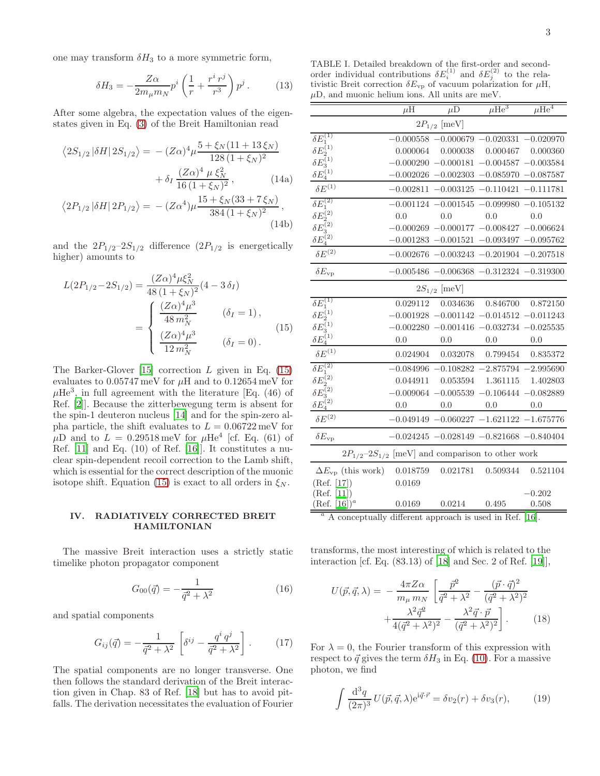one may transform  $\delta H_3$  to a more symmetric form,

$$
\delta H_3 = -\frac{Z\alpha}{2m_\mu m_N} p^i \left(\frac{1}{r} + \frac{r^i r^j}{r^3}\right) p^j.
$$
 (13)

After some algebra, the expectation values of the eigenstates given in Eq. [\(3\)](#page-1-1) of the Breit Hamiltonian read

$$
\langle 2S_{1/2} | \delta H | 2S_{1/2} \rangle = -(Z\alpha)^4 \mu \frac{5 + \xi_N (11 + 13 \xi_N)}{128 (1 + \xi_N)^2} + \delta_I \frac{(Z\alpha)^4 \mu \xi_N^2}{16 (1 + \xi_N)^2},
$$
(14a)

$$
\langle 2P_{1/2} |\delta H| 2P_{1/2} \rangle = -(Z\alpha^4)\mu \frac{15 + \xi_N(33 + 7\xi_N)}{384(1 + \xi_N)^2},
$$
\n(14b)

and the  $2P_{1/2}-2S_{1/2}$  difference  $(2P_{1/2}$  is energetically higher) amounts to

$$
L(2P_{1/2} - 2S_{1/2}) = \frac{(Z\alpha)^4 \mu \xi_N^2}{48 (1 + \xi_N)^2} (4 - 3 \delta_I)
$$
  
= 
$$
\begin{cases} \frac{(Z\alpha)^4 \mu^3}{48 m_N^2} & (\delta_I = 1), \\ \frac{(Z\alpha)^4 \mu^3}{12 m_N^2} & (\delta_I = 0). \end{cases}
$$
(15)

The Barker-Glover  $[15]$  correction L given in Eq.  $(15)$ evaluates to  $0.05747 \,\mathrm{meV}$  for  $\mu$ H and to  $0.12654 \,\mathrm{meV}$  for  $\mu$ He<sup>3</sup>, in full agreement with the literature [Eq. (46) of Ref. [\[2](#page-5-1)]]. Because the zitterbewegung term is absent for the spin-1 deuteron nucleus [\[14](#page-5-13)] and for the spin-zero alpha particle, the shift evaluates to  $L = 0.06722$  meV for  $\mu$ D and to  $L = 0.29518 \,\text{meV}$  for  $\mu$ He<sup>4</sup> [cf. Eq. (61) of Ref. [\[11](#page-5-10)] and Eq. (10) of Ref. [\[16](#page-5-15)]]. It constitutes a nuclear spin-dependent recoil correction to the Lamb shift, which is essential for the correct description of the muonic isotope shift. Equation [\(15\)](#page-2-1) is exact to all orders in  $\xi_N$ .

### <span id="page-2-0"></span>IV. RADIATIVELY CORRECTED BREIT HAMILTONIAN

The massive Breit interaction uses a strictly static timelike photon propagator component

$$
G_{00}(\vec{q}) = -\frac{1}{\vec{q}^2 + \lambda^2} \tag{16}
$$

and spatial components

$$
G_{ij}(\vec{q}) = -\frac{1}{\vec{q}^2 + \lambda^2} \left[ \delta^{ij} - \frac{q^i q^j}{\vec{q}^2 + \lambda^2} \right].
$$
 (17)

The spatial components are no longer transverse. One then follows the standard derivation of the Breit interaction given in Chap. 83 of Ref. [\[18\]](#page-5-16) but has to avoid pitfalls. The derivation necessitates the evaluation of Fourier

<span id="page-2-2"></span>TABLE I. Detailed breakdown of the first-order and secondorder individual contributions  $\delta E_i^{(1)}$  and  $\delta E_j^{(2)}$  to the relativistic Breit correction  $\delta E_{\rm vp}$  of vacuum polarization for  $\mu$ H,  $\mu$ D, and muonic helium ions. All units are meV.

|                                                                                | $\mu$ H  | $\mu$ D          | $\mu \overline{\text{He}^3}$                            | $\mu \overline{\text{He}^4}$ |
|--------------------------------------------------------------------------------|----------|------------------|---------------------------------------------------------|------------------------------|
| $2P_{1/2}$ [meV]                                                               |          |                  |                                                         |                              |
| $\delta E_1^{(1)}$                                                             |          |                  | $-0.000558 - 0.000679 - 0.020331 - 0.020970$            |                              |
|                                                                                | 0.000064 |                  | $0.000038$ $0.000467$ $0.000360$                        |                              |
|                                                                                |          |                  | $-0.000290 -0.000181 -0.004587 -0.003584$               |                              |
| $\frac{\delta E_2^{(1)}}{\delta E_3^{(1)}} \frac{\delta E_4^{(1)}}{E_4^{(1)}}$ |          |                  | $-0.002026$ $-0.002303$ $-0.085970$ $-0.087587$         |                              |
| $\delta E^{(1)}$                                                               |          |                  | $-0.002811 - 0.003125 - 0.110421 - 0.111781$            |                              |
| $\delta\bar{E}^{(2)}_1$                                                        |          |                  | $-0.001124 - 0.001545 - 0.099980 - 0.105132$            |                              |
|                                                                                | 0.0      | 0.0              | 0.0                                                     | 0.0                          |
|                                                                                |          |                  | $-0.000269 - 0.000177 - 0.008427 - 0.006624$            |                              |
| $\delta E^{(2)}_2 \ \delta E^{(2)}_3 \ \delta E^{(2)}_4$                       |          |                  | $-0.001283 - 0.001521 - 0.093497 - 0.095762$            |                              |
| $\delta E^{(2)}$                                                               |          |                  | $-0.002676 - 0.003243 - 0.201904 - 0.207518$            |                              |
| $\delta E_{\rm vp}$                                                            |          |                  | $-0.005486 - 0.006368 - 0.312324 - 0.319300$            |                              |
| $2S_{1/2}$ [meV]                                                               |          |                  |                                                         |                              |
| $\delta \overline{E^{(1)}_1}$                                                  | 0.029112 |                  | $0.034636 \qquad 0.846700 \qquad 0.872150$              |                              |
|                                                                                |          |                  | $-0.001928$ $-0.001142$ $-0.014512$ $-0.011243$         |                              |
|                                                                                |          |                  | $-0.002280 -0.001416 -0.032734 -0.025535$               |                              |
| $\delta E_2^{(1)}$<br>$\delta E_3^{(1)}$<br>$\delta E_4^{(1)}$                 | 0.0      | 0.0              | 0.0                                                     | 0.0                          |
| $\delta E^{(1)}$                                                               |          |                  | $0.024904 \quad 0.032078 \quad 0.799454 \quad 0.835372$ |                              |
| $\delta E_1^{(2)}$                                                             |          |                  | $-0.084996$ $-0.108282$ $-2.875794$ $-2.995690$         |                              |
|                                                                                |          |                  | $0.044911$ $0.053594$ $1.361115$ $1.402803$             |                              |
| $\delta E^{(2)}_{2} \ \delta E^{(2)}_{3}$                                      |          |                  | $-0.009064 - 0.005539 - 0.106444 - 0.082889$            |                              |
| $\delta E_4^{(2)}$                                                             | 0.0      | 0.0              | 0.0                                                     | 0.0                          |
| $\delta E^{(2)}$                                                               |          |                  | $-0.049149 - 0.060227 - 1.621122 - 1.675776$            |                              |
| $\delta E_{\rm vp}$                                                            |          |                  | $-0.024245 - 0.028149 - 0.821668 - 0.840404$            |                              |
| $2P_{1/2}$ -2 $S_{1/2}$ [meV] and comparison to other work                     |          |                  |                                                         |                              |
| $\Delta E_{\rm vp}$ (this work) 0.018759                                       |          |                  | 0.021781  0.509344  0.521104                            |                              |
| (Ref. [17])                                                                    | 0.0169   |                  |                                                         |                              |
| (Ref. [11])                                                                    |          |                  |                                                         | $-0.202$                     |
| $(Ref. [16])^a$                                                                | 0.0169   | $0.0214$ $0.495$ |                                                         | 0.508                        |

<span id="page-2-1"></span><sup>a</sup> A conceptually different approach is used in Ref. [\[16](#page-5-15)].

transforms, the most interesting of which is related to the interaction [cf. Eq. (83.13) of [\[18](#page-5-16)] and Sec. 2 of Ref. [\[19\]](#page-5-18)],

$$
U(\vec{p}, \vec{q}, \lambda) = -\frac{4\pi Z \alpha}{m_{\mu} m_{N}} \left[ \frac{\vec{p}^{2}}{\vec{q}^{2} + \lambda^{2}} - \frac{(\vec{p} \cdot \vec{q})^{2}}{(\vec{q}^{2} + \lambda^{2})^{2}} + \frac{\lambda^{2} \vec{q}^{2}}{4(\vec{q}^{2} + \lambda^{2})^{2}} - \frac{\lambda^{2} \vec{q} \cdot \vec{p}}{(\vec{q}^{2} + \lambda^{2})^{2}} \right].
$$
 (18)

For  $\lambda = 0$ , the Fourier transform of this expression with respect to  $\vec{q}$  gives the term  $\delta H_3$  in Eq. [\(10\)](#page-1-2). For a massive photon, we find

$$
\int \frac{\mathrm{d}^3 q}{(2\pi)^3} U(\vec{p}, \vec{q}, \lambda) e^{\mathrm{i}\vec{q}\cdot\vec{r}} = \delta v_2(r) + \delta v_3(r),\tag{19}
$$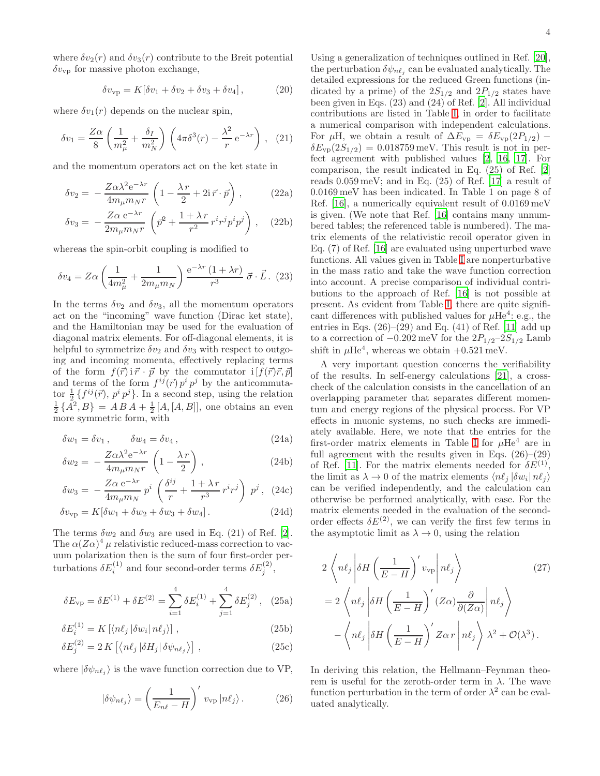where  $\delta v_2(r)$  and  $\delta v_3(r)$  contribute to the Breit potential  $\delta v_{\rm vp}$  for massive photon exchange,

$$
\delta v_{\rm vp} = K[\delta v_1 + \delta v_2 + \delta v_3 + \delta v_4],\tag{20}
$$

where  $\delta v_1(r)$  depends on the nuclear spin,

$$
\delta v_1 = \frac{Z\alpha}{8} \left( \frac{1}{m_\mu^2} + \frac{\delta_I}{m_N^2} \right) \left( 4\pi \delta^3(r) - \frac{\lambda^2}{r} e^{-\lambda r} \right), \quad (21)
$$

and the momentum operators act on the ket state in

$$
\delta v_2 = -\frac{Z\alpha\lambda^2 e^{-\lambda r}}{4m_\mu m_N r} \left(1 - \frac{\lambda r}{2} + 2i\vec{r} \cdot \vec{p}\right),\tag{22a}
$$

$$
\delta v_3 = -\frac{Z\alpha \,\mathrm{e}^{-\lambda r}}{2m_\mu m_N r} \left( \vec{p}^2 + \frac{1+\lambda \, r}{r^2} r^i r^j p^i p^j \right) , \quad (22b)
$$

whereas the spin-orbit coupling is modified to

$$
\delta v_4 = Z\alpha \left(\frac{1}{4m_\mu^2} + \frac{1}{2m_\mu m_N}\right) \frac{e^{-\lambda r} (1 + \lambda r)}{r^3} \vec{\sigma} \cdot \vec{L}.
$$
 (23)

In the terms  $\delta v_2$  and  $\delta v_3$ , all the momentum operators act on the "incoming" wave function (Dirac ket state), and the Hamiltonian may be used for the evaluation of diagonal matrix elements. For off-diagonal elements, it is helpful to symmetrize  $\delta v_2$  and  $\delta v_3$  with respect to outgoing and incoming momenta, effectively replacing terms of the form  $f(\vec{r})$  i  $\vec{r} \cdot \vec{p}$  by the commutator i  $[f(\vec{r})\vec{r}, \vec{p}]$ and terms of the form  $f^{ij}(\vec{r}) p^i p^j$  by the anticommutator  $\frac{1}{2}$  { $f^{ij}(\vec{r})$ ,  $p^i p^j$ }. In a second step, using the relation  $\frac{1}{2}$  { $A^2, B$ } =  $A B A + \frac{1}{2} [A, [A, B]],$  one obtains an even more symmetric form, with

$$
\delta w_1 = \delta v_1 \,, \qquad \delta w_4 = \delta v_4 \,, \tag{24a}
$$

$$
\delta w_2 = -\frac{Z\alpha\lambda^2 e^{-\lambda r}}{4m_{\mu}m_Nr} \left(1 - \frac{\lambda r}{2}\right),\tag{24b}
$$

$$
\delta w_3 = -\frac{Z\alpha \,\mathrm{e}^{-\lambda r}}{4m_\mu m_N} \, p^i \, \left(\frac{\delta^{ij}}{r} + \frac{1+\lambda \, r}{r^3} \, r^i r^j \right) \, p^j \,, \tag{24c}
$$

$$
\delta v_{\rm vp} = K[\delta w_1 + \delta w_2 + \delta w_3 + \delta w_4]. \tag{24d}
$$

The terms  $\delta w_2$  and  $\delta w_3$  are used in Eq. (21) of Ref. [\[2\]](#page-5-1). The  $\alpha(Z\alpha)^4$   $\mu$  relativistic reduced-mass correction to vacuum polarization then is the sum of four first-order perturbations  $\delta E_i^{(1)}$  and four second-order terms  $\delta E_j^{(2)}$ ,

$$
\delta E_{\rm vp} = \delta E^{(1)} + \delta E^{(2)} = \sum_{i=1}^{4} \delta E_i^{(1)} + \sum_{j=1}^{4} \delta E_j^{(2)}, \quad (25a)
$$

$$
\delta E_i^{(1)} = K \left[ \langle n\ell_j \left| \delta w_i \right| n\ell_j \rangle \right],\tag{25b}
$$

$$
\delta E_j^{(2)} = 2 K \left[ \langle n\ell_j \left| \delta H_j \right| \delta \psi_{n\ell_j} \rangle \right] , \qquad (25c)
$$

where  $|\delta \psi_{n\ell_j}\rangle$  is the wave function correction due to VP,

$$
|\delta\psi_{n\ell_j}\rangle = \left(\frac{1}{E_{n\ell} - H}\right)' v_{\rm vp} |n\ell_j\rangle.
$$
 (26)

<span id="page-3-0"></span>Using a generalization of techniques outlined in Ref. [\[20\]](#page-5-19), the perturbation  $\delta \psi_{n\ell_j}$  can be evaluated analytically. The detailed expressions for the reduced Green functions (indicated by a prime) of the  $2S_{1/2}$  and  $2P_{1/2}$  states have been given in Eqs. (23) and (24) of Ref. [\[2\]](#page-5-1). All individual contributions are listed in Table [I,](#page-2-2) in order to facilitate a numerical comparison with independent calculations. For  $\mu$ H, we obtain a result of  $\Delta E_{\rm vp} = \delta E_{\rm vp}(2P_{1/2})$  –  $\delta E_{\rm vp}(2S_{1/2}) = 0.018759 \,\text{meV}$ . This result is not in perfect agreement with published values [\[2](#page-5-1), [16](#page-5-15), [17\]](#page-5-17). For comparison, the result indicated in Eq. (25) of Ref. [\[2](#page-5-1)] reads 0.059 meV; and in Eq. (25) of Ref. [\[17](#page-5-17)] a result of 0.0169 meV has been indicated. In Table 1 on page 8 of Ref. [\[16](#page-5-15)], a numerically equivalent result of 0.0169 meV is given. (We note that Ref. [\[16\]](#page-5-15) contains many unnumbered tables; the referenced table is numbered). The matrix elements of the relativistic recoil operator given in Eq. (7) of Ref. [\[16\]](#page-5-15) are evaluated using unperturbed wave functions. All values given in Table [I](#page-2-2) are nonperturbative in the mass ratio and take the wave function correction into account. A precise comparison of individual contributions to the approach of Ref. [\[16\]](#page-5-15) is not possible at present. As evident from Table [I,](#page-2-2) there are quite significant differences with published values for  $\mu$ He<sup>4</sup>: e.g., the entries in Eqs.  $(26)$ – $(29)$  and Eq.  $(41)$  of Ref.  $[11]$  add up to a correction of  $-0.202 \,\text{meV}$  for the  $2P_{1/2}-2S_{1/2}$  Lamb shift in  $\mu$ He<sup>4</sup>, whereas we obtain  $+0.521$  meV.

A very important question concerns the verifiability of the results. In self-energy calculations [\[21\]](#page-5-20), a crosscheck of the calculation consists in the cancellation of an overlapping parameter that separates different momentum and energy regions of the physical process. For VP effects in muonic systems, no such checks are immediately available. Here, we note that the entries for the first-order matrix elements in Table [I](#page-2-2) for  $\mu$ He<sup>4</sup> are in full agreement with the results given in Eqs.  $(26)-(29)$ of Ref. [\[11\]](#page-5-10). For the matrix elements needed for  $\delta E^{(1)}$ , the limit as  $\lambda \to 0$  of the matrix elements  $\langle n\ell_j | \delta w_i | n\ell_j \rangle$ can be verified independently, and the calculation can otherwise be performed analytically, with ease. For the matrix elements needed in the evaluation of the secondorder effects  $\delta E^{(2)}$ , we can verify the first few terms in the asymptotic limit as  $\lambda \to 0$ , using the relation

$$
2\left\langle n\ell_j \left| \delta H \left( \frac{1}{E - H} \right)' v_{\rm vp} \right| n\ell_j \right\rangle \tag{27}
$$

$$
= 2\left\langle n\ell_j \left| \delta H \left( \frac{1}{E - H} \right)' (Z\alpha) \frac{\partial}{\partial (Z\alpha)} \right| n\ell_j \right\rangle
$$

$$
- \left\langle n\ell_j \left| \delta H \left( \frac{1}{E - H} \right)' Z\alpha r \right| n\ell_j \right\rangle \lambda^2 + \mathcal{O}(\lambda^3).
$$

In deriving this relation, the Hellmann–Feynman theorem is useful for the zeroth-order term in  $λ$ . The wave function perturbation in the term of order  $\lambda^2$  can be evaluated analytically.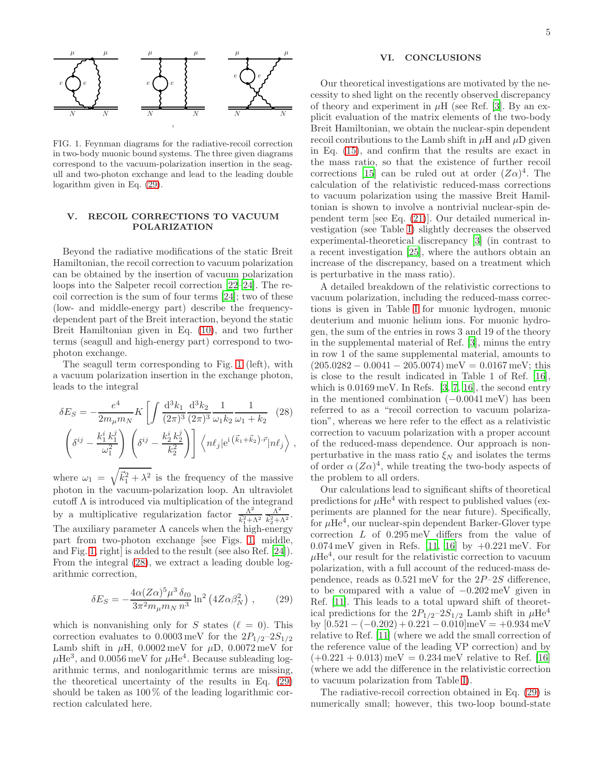

<span id="page-4-3"></span>FIG. 1. Feynman diagrams for the radiative-recoil correction in two-body muonic bound systems. The three given diagrams correspond to the vacuum-polarization insertion in the seagull and two-photon exchange and lead to the leading double logarithm given in Eq. [\(29\)](#page-4-2).

### <span id="page-4-0"></span>V. RECOIL CORRECTIONS TO VACUUM POLARIZATION

Beyond the radiative modifications of the static Breit Hamiltonian, the recoil correction to vacuum polarization can be obtained by the insertion of vacuum polarization loops into the Salpeter recoil correction [\[22](#page-5-21)[–24\]](#page-5-22). The recoil correction is the sum of four terms [\[24](#page-5-22)]; two of these (low- and middle-energy part) describe the frequencydependent part of the Breit interaction, beyond the static Breit Hamiltonian given in Eq. [\(10\)](#page-1-2), and two further terms (seagull and high-energy part) correspond to twophoton exchange.

The seagull term corresponding to Fig. [1](#page-4-3) (left), with a vacuum polarization insertion in the exchange photon, leads to the integral

$$
\delta E_S = -\frac{e^4}{2m_\mu m_N} K \left[ \int \frac{d^3 k_1}{(2\pi)^3} \frac{d^3 k_2}{(2\pi)^3} \frac{1}{\omega_1 k_2} \frac{1}{\omega_1 + k_2} \right] (28)
$$

$$
\left( \delta^{ij} - \frac{k_1^i k_1^j}{\omega_1^2} \right) \left( \delta^{ij} - \frac{k_2^i k_2^j}{k_2^2} \right) \left[ \langle n\ell_j | e^{i \left( \vec{k}_1 + \vec{k}_2 \right) \cdot \vec{r}} | n\ell_j \rangle \right],
$$

where  $\omega_1 = \sqrt{\vec{k}_1^2 + \lambda^2}$  is the frequency of the massive photon in the vacuum-polarization loop. An ultraviolet cutoff Λ is introduced via multiplication of the integrand by a multiplicative regularization factor  $\frac{\Lambda^2}{h^2}$  $\frac{\Lambda^2}{\vec{k}_1^2+\Lambda^2} \frac{\Lambda^2}{\vec{k}_2^2+\Lambda^2}$  $\frac{\Lambda^-}{\vec{k}_2^2+\Lambda^2}$ . The auxiliary parameter  $\Lambda$  cancels when the high-energy part from two-photon exchange [see Figs. [1,](#page-4-3) middle, and Fig. [1,](#page-4-3) right is added to the result (see also Ref. [\[24\]](#page-5-22)). From the integral [\(28\)](#page-4-4), we extract a leading double logarithmic correction,

<span id="page-4-2"></span>
$$
\delta E_S = -\frac{4\alpha (Z\alpha)^5 \mu^3 \,\delta_{\ell 0}}{3\pi^2 m_\mu m_N n^3} \ln^2 \left(4Z\alpha \beta_N^2\right) \,,\qquad(29)
$$

which is nonvanishing only for S states ( $\ell = 0$ ). This correction evaluates to  $0.0003 \,\text{meV}$  for the  $2P_{1/2}-2S_{1/2}$ Lamb shift in  $\mu$ H, 0.0002 meV for  $\mu$ D, 0.0072 meV for  $\mu$ He<sup>3</sup>, and 0.0056 meV for  $\mu$ He<sup>4</sup>. Because subleading logarithmic terms, and nonlogarithmic terms are missing, the theoretical uncertainty of the results in Eq. [\(29\)](#page-4-2) should be taken as 100 % of the leading logarithmic correction calculated here.

# <span id="page-4-1"></span>VI. CONCLUSIONS

Our theoretical investigations are motivated by the necessity to shed light on the recently observed discrepancy of theory and experiment in  $\mu$ H (see Ref. [\[3\]](#page-5-2). By an explicit evaluation of the matrix elements of the two-body Breit Hamiltonian, we obtain the nuclear-spin dependent recoil contributions to the Lamb shift in  $\mu$ H and  $\mu$ D given in Eq. [\(15\)](#page-2-1), and confirm that the results are exact in the mass ratio, so that the existence of further recoil corrections [\[15\]](#page-5-14) can be ruled out at order  $(Z\alpha)^4$ . The calculation of the relativistic reduced-mass corrections to vacuum polarization using the massive Breit Hamiltonian is shown to involve a nontrivial nuclear-spin dependent term [see Eq. [\(21\)](#page-3-0)]. Our detailed numerical investigation (see Table [I\)](#page-2-2) slightly decreases the observed experimental-theoretical discrepancy [\[3\]](#page-5-2) (in contrast to a recent investigation [\[25\]](#page-5-23), where the authors obtain an increase of the discrepancy, based on a treatment which is perturbative in the mass ratio).

A detailed breakdown of the relativistic corrections to vacuum polarization, including the reduced-mass corrections is given in Table [I](#page-2-2) for muonic hydrogen, muonic deuterium and muonic helium ions. For muonic hydrogen, the sum of the entries in rows 3 and 19 of the theory in the supplemental material of Ref. [\[3\]](#page-5-2), minus the entry in row 1 of the same supplemental material, amounts to  $(205.0282 - 0.0041 - 205.0074)$  meV = 0.0167 meV; this is close to the result indicated in Table 1 of Ref. [\[16\]](#page-5-15), which is  $0.0169 \,\mathrm{meV}$ . In Refs. [\[3,](#page-5-2) [7](#page-5-6), [16\]](#page-5-15), the second entry in the mentioned combination  $(-0.0041 \,\mathrm{meV})$  has been referred to as a "recoil correction to vacuum polarization", whereas we here refer to the effect as a relativistic correction to vacuum polarization with a proper account of the reduced-mass dependence. Our approach is nonperturbative in the mass ratio  $\xi_N$  and isolates the terms of order  $\alpha (Z\alpha)^4$ , while treating the two-body aspects of the problem to all orders.

<span id="page-4-4"></span>Our calculations lead to significant shifts of theoretical predictions for  $\mu$ He<sup>4</sup> with respect to published values (experiments are planned for the near future). Specifically, for  $\mu$ He<sup>4</sup>, our nuclear-spin dependent Barker-Glover type correction L of 0.295 meV differs from the value of 0.074 meV given in Refs. [\[11,](#page-5-10) [16](#page-5-15)] by  $+0.221 \,\text{meV}$ . For  $\mu$ He<sup>4</sup>, our result for the relativistic correction to vacuum polarization, with a full account of the reduced-mass dependence, reads as  $0.521 \,\text{meV}$  for the  $2P-2S$  difference, to be compared with a value of −0.202 meV given in Ref. [\[11](#page-5-10)]. This leads to a total upward shift of theoretical predictions for the  $2P_{1/2}-2S_{1/2}$  Lamb shift in  $\mu$ He<sup>4</sup> by  $[0.521 - (-0.202) + 0.221 - 0.010]$  meV =  $+0.934$  meV relative to Ref. [\[11](#page-5-10)] (where we add the small correction of the reference value of the leading VP correction) and by  $(+0.221 + 0.013)$  meV = 0.234 meV relative to Ref. [\[16](#page-5-15)] (where we add the difference in the relativistic correction to vacuum polarization from Table [I\)](#page-2-2).

The radiative-recoil correction obtained in Eq. [\(29\)](#page-4-2) is numerically small; however, this two-loop bound-state